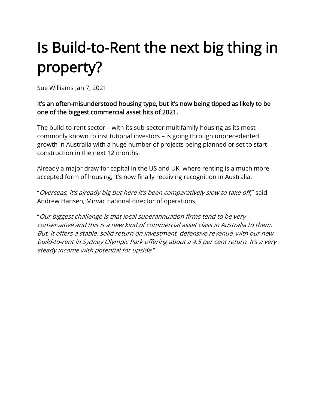# Is Build-to-Rent the next big thing in property?

Sue Williams Jan 7, 2021

#### It's an often-misunderstood housing type, but it's now being tipped as likely to be one of the biggest commercial asset hits of 2021.

The build-to-rent sector – with its sub-sector multifamily housing as its most commonly known to institutional investors – is going through unprecedented growth in Australia with a huge number of projects being planned or set to start construction in the next 12 months.

Already a major draw for capital in the US and UK, where renting is a much more accepted form of housing, it's now finally receiving recognition in Australia.

"Overseas, it's already big but here it's been comparatively slow to take off," said Andrew Hansen, Mirvac national director of operations.

"Our biggest challenge is that local superannuation firms tend to be very conservative and this is a new kind of commercial asset class in Australia to them. But, it offers a stable, solid return on investment, defensive revenue, with our new build-to-rent in Sydney Olympic Park offering about a 4.5 per cent return. It's a very steady income with potential for upside."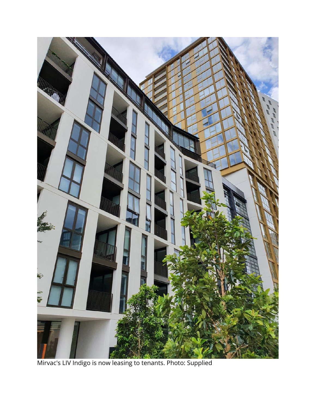

Mirvac's LIV Indigo is now leasing to tenants. Photo: Supplied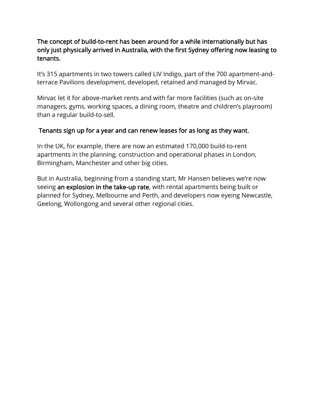## The concept of build-to-rent has been around for a while internationally but has only just physically arrived in Australia, with the first Sydney offering now leasing to tenants.

It's 315 apartments in two towers called LIV Indigo, part of the 700 apartment-andterrace Pavilions development, developed, retained and managed by Mirvac.

Mirvac let it for above-market rents and with far more facilities (such as on-site managers, gyms, working spaces, a dining room, theatre and children's playroom) than a regular build-to-sell.

#### Tenants sign up for a year and can renew leases for as long as they want.

In the UK, for example, there are now an estimated 170,000 build-to-rent apartments in the planning, construction and operational phases in London, Birmingham, Manchester and other big cities.

But in Australia, beginning from a standing start, Mr Hansen believes we're now seeing an explosion in the take-up rate, with rental apartments being built or planned for Sydney, Melbourne and Perth, and developers now eyeing Newcastle, Geelong, Wollongong and several other regional cities.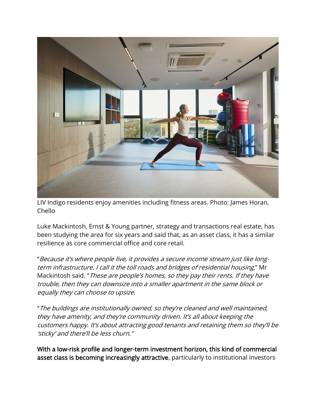

LIV Indigo residents enjoy amenities including fitness areas. Photo: James Horan, Chello

Luke Mackintosh, Ernst & Young partner, strategy and transactions real estate, has been studying the area for six years and said that, as an asset class, it has a similar resilience as core commercial office and core retail.

"Because it's where people live, it provides a secure income stream just like longterm infrastructure. I call it the toll roads and bridges of residential housing," Mr Mackintosh said. "These are people's homes, so they pay their rents. If they have trouble, then they can downsize into a smaller apartment in the same block or equally they can choose to upsize.

"The buildings are institutionally owned, so they're cleaned and well maintained, they have amenity, and they're community driven. It's all about keeping the customers happy. It's about attracting good tenants and retaining them so they'll be 'sticky' and there'll be less churn."

With a low-risk profile and longer-term investment horizon, this kind of commercial asset class is becoming increasingly attractive, particularly to institutional investors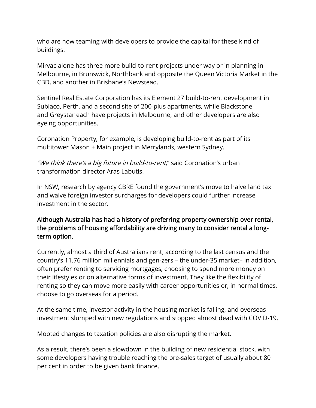who are now teaming with developers to provide the capital for these kind of buildings.

Mirvac alone has three more build-to-rent projects under way or in planning in Melbourne, in Brunswick, Northbank and opposite the Queen Victoria Market in the CBD, and another in Brisbane's Newstead.

Sentinel Real Estate Corporation has its Element 27 build-to-rent development in Subiaco, Perth, and a second site of 200-plus apartments, while Blackstone and Greystar each have projects in Melbourne, and other developers are also eyeing opportunities.

Coronation Property, for example, is developing build-to-rent as part of its multitower Mason + Main project in Merrylands, western Sydney.

"We think there's a big future in build-to-rent," said Coronation's urban transformation director Aras Labutis.

In NSW, research by agency CBRE found the government's move to halve land tax and waive foreign investor surcharges for developers could further increase investment in the sector.

## Although Australia has had a history of preferring property ownership over rental, the problems of housing affordability are driving many to consider rental a longterm option.

Currently, almost a third of Australians rent, according to the last census and the country's 11.76 million millennials and gen-zers – the under-35 market– in addition, often prefer renting to servicing mortgages, choosing to spend more money on their lifestyles or on alternative forms of investment. They like the flexibility of renting so they can move more easily with career opportunities or, in normal times, choose to go overseas for a period.

At the same time, investor activity in the housing market is falling, and overseas investment slumped with new regulations and stopped almost dead with COVID-19.

Mooted changes to taxation policies are also disrupting the market.

As a result, there's been a slowdown in the building of new residential stock, with some developers having trouble reaching the pre-sales target of usually about 80 per cent in order to be given bank finance.